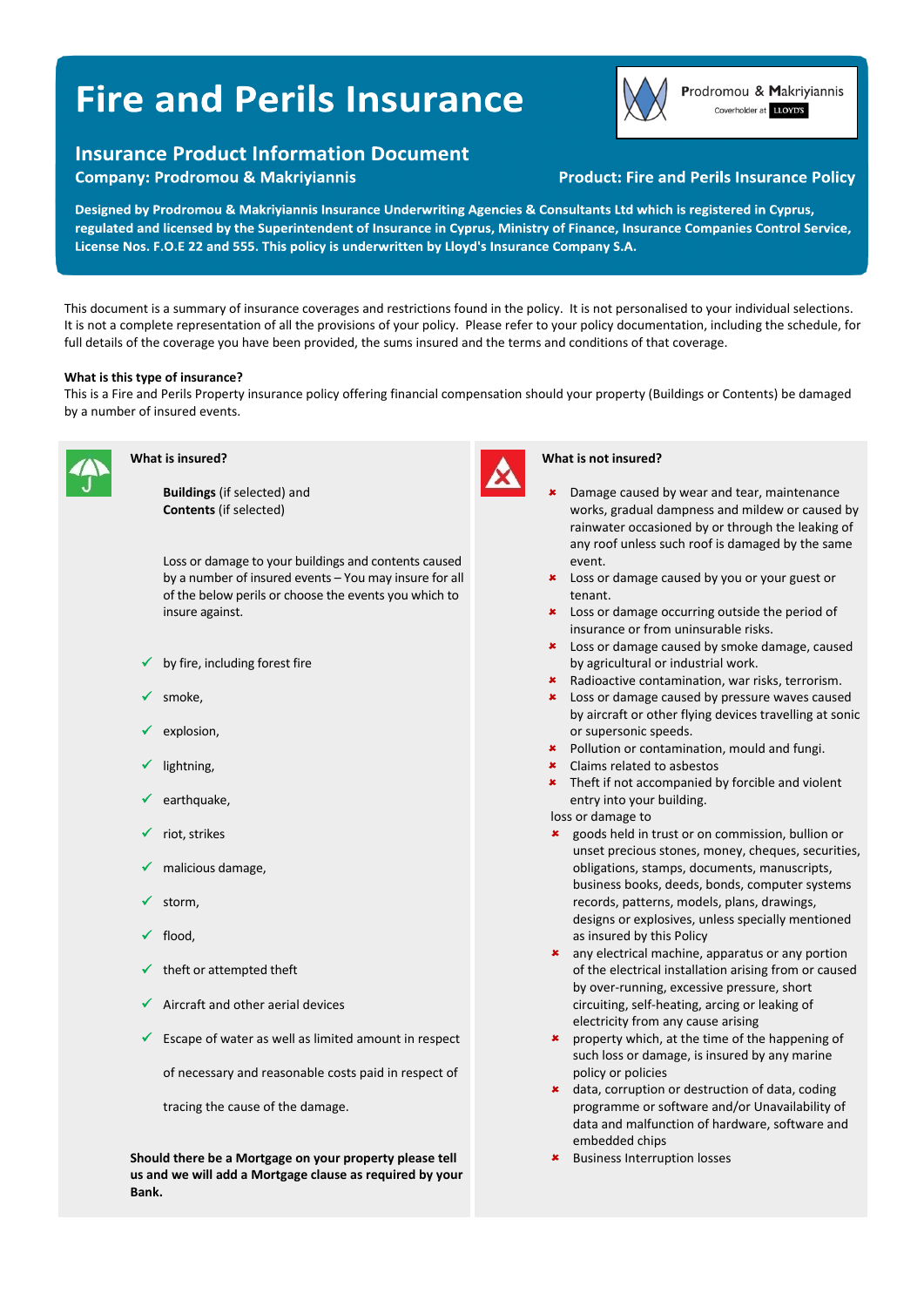# **Fire and Perils Insurance**

## **Insurance Product Information Document**

**Company: Prodromou & Makriyiannis** 



Prodromou & Makriyiannis Coverholder at LLOYD'S

### **Product: Fire and Perils Insurance Policy**

Designed by Prodromou & Makriyiannis Insurance Underwriting Agencies & Consultants Ltd which is registered in Cyprus, regulated and licensed by the Superintendent of Insurance in Cyprus, Ministry of Finance, Insurance Companies Control Service, License Nos. F.O.E 22 and 555. This policy is underwritten by Lloyd's Insurance Company S.A.

This document is a summary of insurance coverages and restrictions found in the policy. It is not personalised to your individual selections. It is not a complete representation of all the provisions of your policy. Please refer to your policy documentation, including the schedule, for full details of the coverage you have been provided, the sums insured and the terms and conditions of that coverage.

#### **What is this type of insurance?**

This is a Fire and Perils Property insurance policy offering financial compensation should your property (Buildings or Contents) be damaged by a number of insured events.



#### **What is insured?**

**Buildings** (if selected) and **Contents** (if selected)

Loss or damage to your buildings and contents caused by a number of insured events – You may insure for all of the below perils or choose the events you which to insure against.

- by fire, including forest fire
- smoke,
- explosion,
- lightning,
- earthquake,
- riot, strikes
- malicious damage,
- storm,
- flood,
- theft or attempted theft
- Aircraft and other aerial devices
- $\checkmark$  Escape of water as well as limited amount in respect

of necessary and reasonable costs paid in respect of

tracing the cause of the damage.

**Should there be a Mortgage on your property please tell us and we will add a Mortgage clause as required by your Bank.** 



#### **What is not insured?**

- Damage caused by wear and tear, maintenance works, gradual dampness and mildew or caused by rainwater occasioned by or through the leaking of any roof unless such roof is damaged by the same event.
- **\*** Loss or damage caused by you or your guest or tenant.
- **\*** Loss or damage occurring outside the period of insurance or from uninsurable risks.
- **\*** Loss or damage caused by smoke damage, caused by agricultural or industrial work.
- Radioactive contamination, war risks, terrorism.
- Loss or damage caused by pressure waves caused by aircraft or other flying devices travelling at sonic or supersonic speeds.
- **\*** Pollution or contamination, mould and fungi.
- Claims related to asbestos
- **\*** Theft if not accompanied by forcible and violent entry into your building.

loss or damage to

- goods held in trust or on commission, bullion or unset precious stones, money, cheques, securities, obligations, stamps, documents, manuscripts, business books, deeds, bonds, computer systems records, patterns, models, plans, drawings, designs or explosives, unless specially mentioned as insured by this Policy
- **\*** any electrical machine, apparatus or any portion of the electrical installation arising from or caused by over‐running, excessive pressure, short circuiting, self‐heating, arcing or leaking of electricity from any cause arising
- **\*** property which, at the time of the happening of such loss or damage, is insured by any marine policy or policies
- \* data, corruption or destruction of data, coding programme or software and/or Unavailability of data and malfunction of hardware, software and embedded chips
- Business Interruption losses